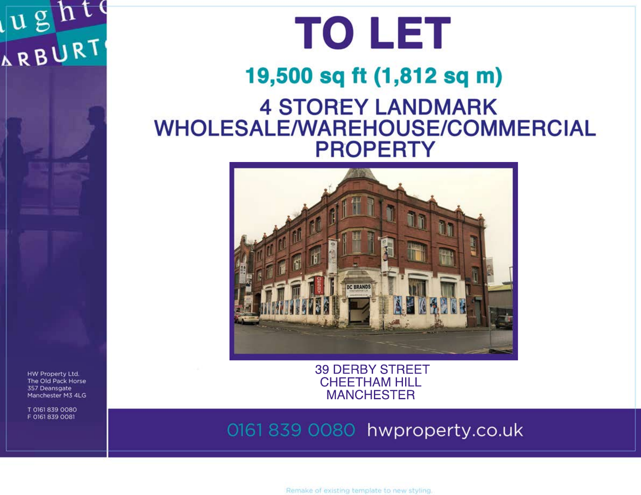# USNT



## 19,500 sq ft (1,812 sq m) **4 STOREY LANDMARK WHOLESALE/WAREHOUSE/COMMERCIAL PROPERTY**



HW Property Ltd. The Old Pack Horse 357 Deansgate Manchester M3 4LG

T 0161 839 0080 F 0161 839 0081

**39 DERBY STREET CHEETHAM HILL MANCHESTER** 

0161 839 0080 hwproperty.co.uk

Remake of existing template to new styling.